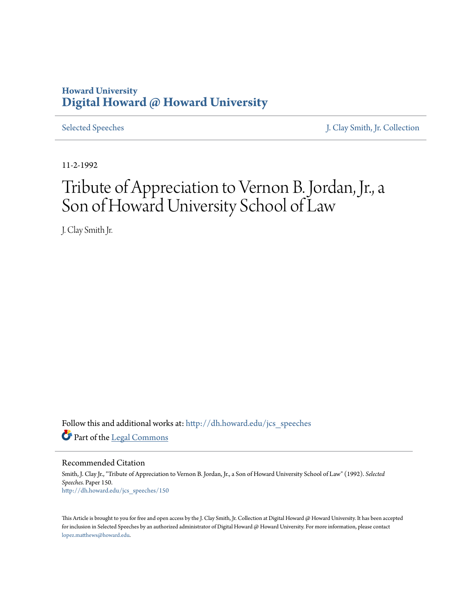## **Howard University [Digital Howard @ Howard University](http://dh.howard.edu?utm_source=dh.howard.edu%2Fjcs_speeches%2F150&utm_medium=PDF&utm_campaign=PDFCoverPages)**

[Selected Speeches](http://dh.howard.edu/jcs_speeches?utm_source=dh.howard.edu%2Fjcs_speeches%2F150&utm_medium=PDF&utm_campaign=PDFCoverPages) [J. Clay Smith, Jr. Collection](http://dh.howard.edu/jcsmith?utm_source=dh.howard.edu%2Fjcs_speeches%2F150&utm_medium=PDF&utm_campaign=PDFCoverPages)

11-2-1992

## Tribute of Appreciation to Vernon B. Jordan, Jr., a Son of Howard University School of Law

J. Clay Smith Jr.

Follow this and additional works at: [http://dh.howard.edu/jcs\\_speeches](http://dh.howard.edu/jcs_speeches?utm_source=dh.howard.edu%2Fjcs_speeches%2F150&utm_medium=PDF&utm_campaign=PDFCoverPages) Part of the [Legal Commons](http://network.bepress.com/hgg/discipline/502?utm_source=dh.howard.edu%2Fjcs_speeches%2F150&utm_medium=PDF&utm_campaign=PDFCoverPages)

Recommended Citation

Smith, J. Clay Jr., "Tribute of Appreciation to Vernon B. Jordan, Jr., a Son of Howard University School of Law" (1992). *Selected Speeches.* Paper 150. [http://dh.howard.edu/jcs\\_speeches/150](http://dh.howard.edu/jcs_speeches/150?utm_source=dh.howard.edu%2Fjcs_speeches%2F150&utm_medium=PDF&utm_campaign=PDFCoverPages)

This Article is brought to you for free and open access by the J. Clay Smith, Jr. Collection at Digital Howard @ Howard University. It has been accepted for inclusion in Selected Speeches by an authorized administrator of Digital Howard @ Howard University. For more information, please contact [lopez.matthews@howard.edu.](mailto:lopez.matthews@howard.edu)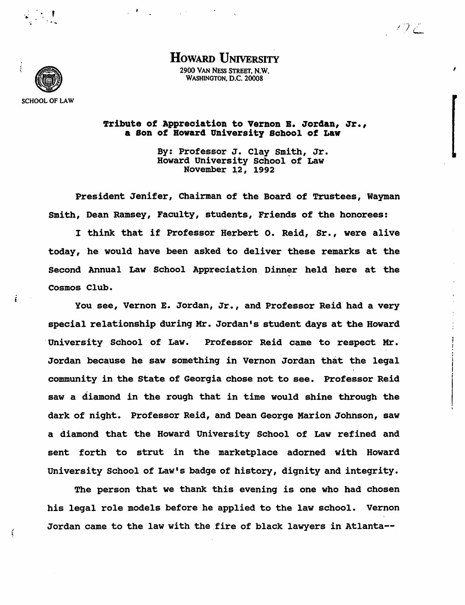

i

ţ

 $\frac{1}{2}$  ,  $\frac{1}{2}$  ,  $\frac{1}{2}$ 

HOWARD UNIVERSITY

 $\vee$  )  $\mathcal{L}% ^{\prime}$ 

,

2900 VAN NESS STREET. N.W. WASHINGTON, D.C. 20008

Tribute of Appreciation to Vernon E. Jordan, Jr., a Son of Bowar4 University School of Law

> By: Professor J. Clay smith, Jr. Howard University School of Law November 12, 1992

President Jenifer, Chairman of the Board of Trustees, Wayman Smith, Dean Ramsey, Faculty, students, Friends of the honorees:

I think that if Professor Herbert o. Reid, Sr., were alive today, he would have been asked to deliver these remarks at the Second Annual Law School Appreciation Dinner held here at the Cosmos Club.

You see, Vernon E. Jordan, Jr., and Professor Reid had a very special relationship during Mr. Jordan's student days at the Howard 'University School of Law. Professor Reid came to respect Mr. Jordan because he saw something in Vernon Jordan that the legal community in the State of Georgia chose not to see. Professor Reid saw a diamond in the rough that in time would shine through the dark of night. Professor Reid, and Dean George Marion Johnson, saw a diamond that the Howard University School of Law refined and sent forth to strut in the marketplace adorned with Howard University School of Law's badge of history, dignity and integrity.

The person that we thank this evening is one who had chosen his legal role models before he applied to the law school. Vernon Jordan came to the law with the fire of black lawyers in Atlanta--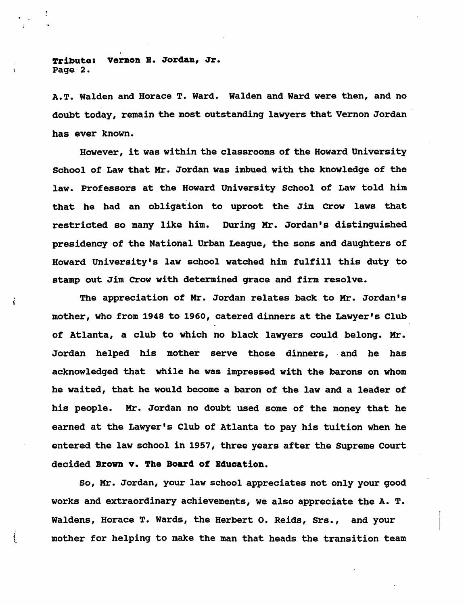Tribute: Vernon B. Jordan, Jr. Page 2.

A.T. Walden and Horace T. Ward. Walden and Ward were then, and no doubt today, remain the most outstanding lawyers that Vernon Jordan has ever known.

However, it was within the classrooms of the Howard University School of Law that Mr. Jordan was imbued with the knowledge of the law. Professors at the Howard University School of Law told him that he had an obligation to uproot the Jim Crow laws that restricted so many like him. During Mr. Jordan's distinguished presidency of the National Urban Leaque, the sons and daughters of Howard University's law school watched him fulfill this duty to stamp out Jim Crow with determined grace and firm resolve.

The appreciation of Mr. Jordan relates back to Mr. Jordan's mother, who from 1948 to 1960, catered dinners at the Lawyer's Club of Atlanta, a club to which no black lawyers could belong. Mr. Jordan helped his mother serve those dinners, and he has acknowledged that while he was impressed with the barons on whom he waited, that he would become a baron of the law and a leader of his people. Mr. Jordan no doubt used some of the money that he earned at the Lawyer's Club of Atlanta to pay his tuition when he entered the law school in 1957, three years after the Supreme Court decided Brown v. The Board of Bducation.

So, Mr. Jordan, your law school appreciates not only your good works and extraordinary achievements, we also appreciate the A. T. Waldens, Horace T. Wards, the Herbert o. Reids, Srs., and your mother for helping to make the man that heads the transition team